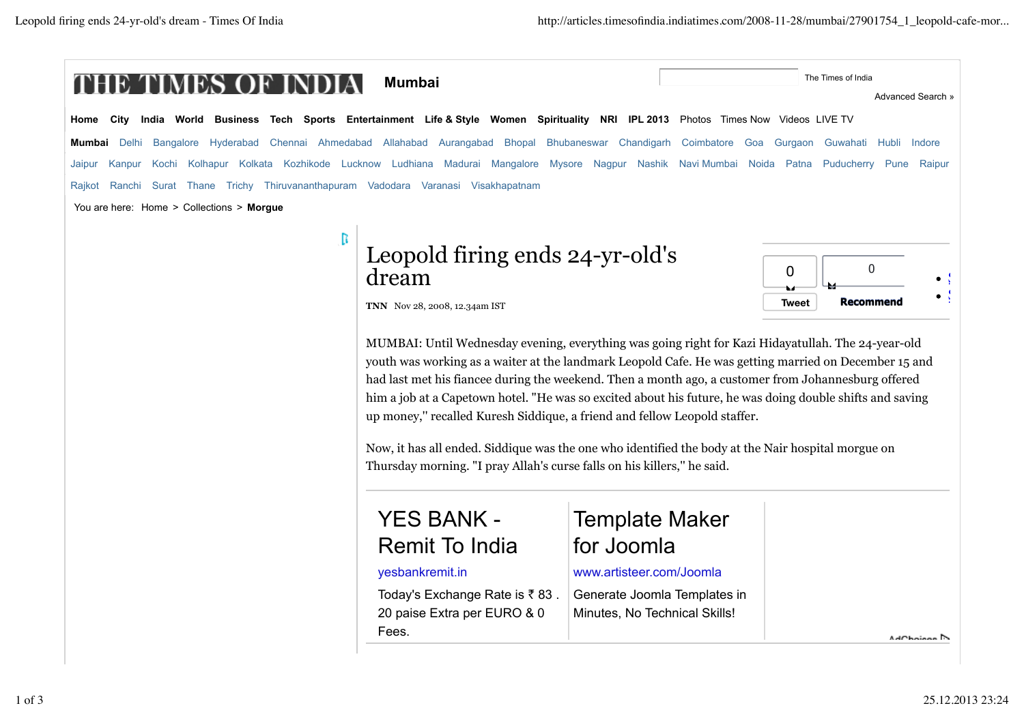